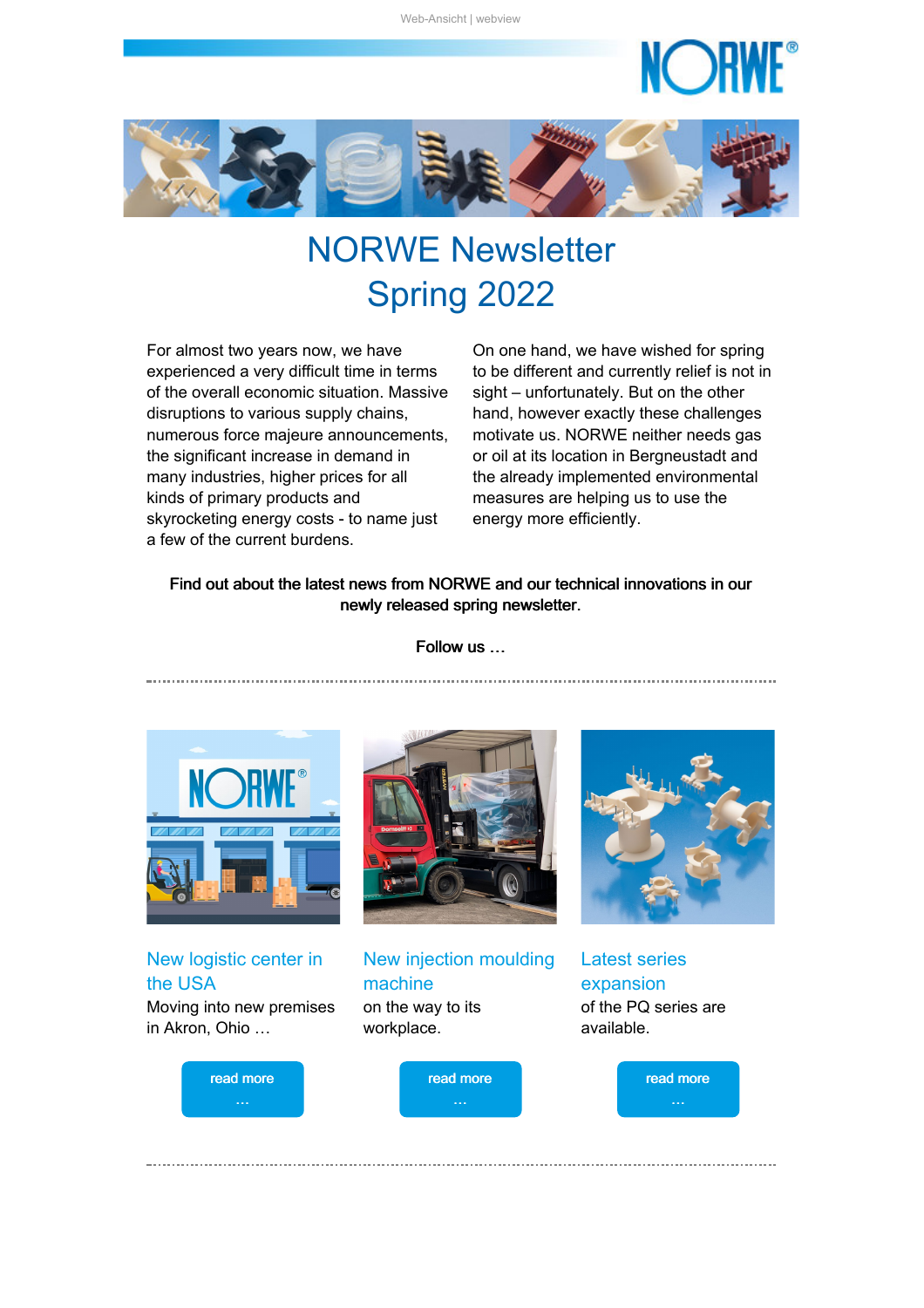<span id="page-0-1"></span>

# NORWE Newsletter Spring 2022

For almost two years now, we have experienced a very difficult time in terms of the overall economic situation. Massive disruptions to various supply chains, numerous force majeure announcements, the significant increase in demand in many industries, higher prices for all kinds of primary products and skyrocketing energy costs - to name just a few of the current burdens.

On one hand, we have wished for spring to be different and currently relief is not in sight – unfortunately. But on the other hand, however exactly these challenges motivate us. NORWE neither needs gas or oil at its location in Bergneustadt and the already implemented environmental measures are helping us to use the energy more efficiently.

#### Find out about the latest news from NORWE and our technical innovations in our newly released spring newsletter.

Follow us …



New logistic center in the USA Moving into new premises in Akron, Ohio …



New injection moulding machine on the way to its workplace.



Latest series expansion of the PQ series are available.

<span id="page-0-0"></span>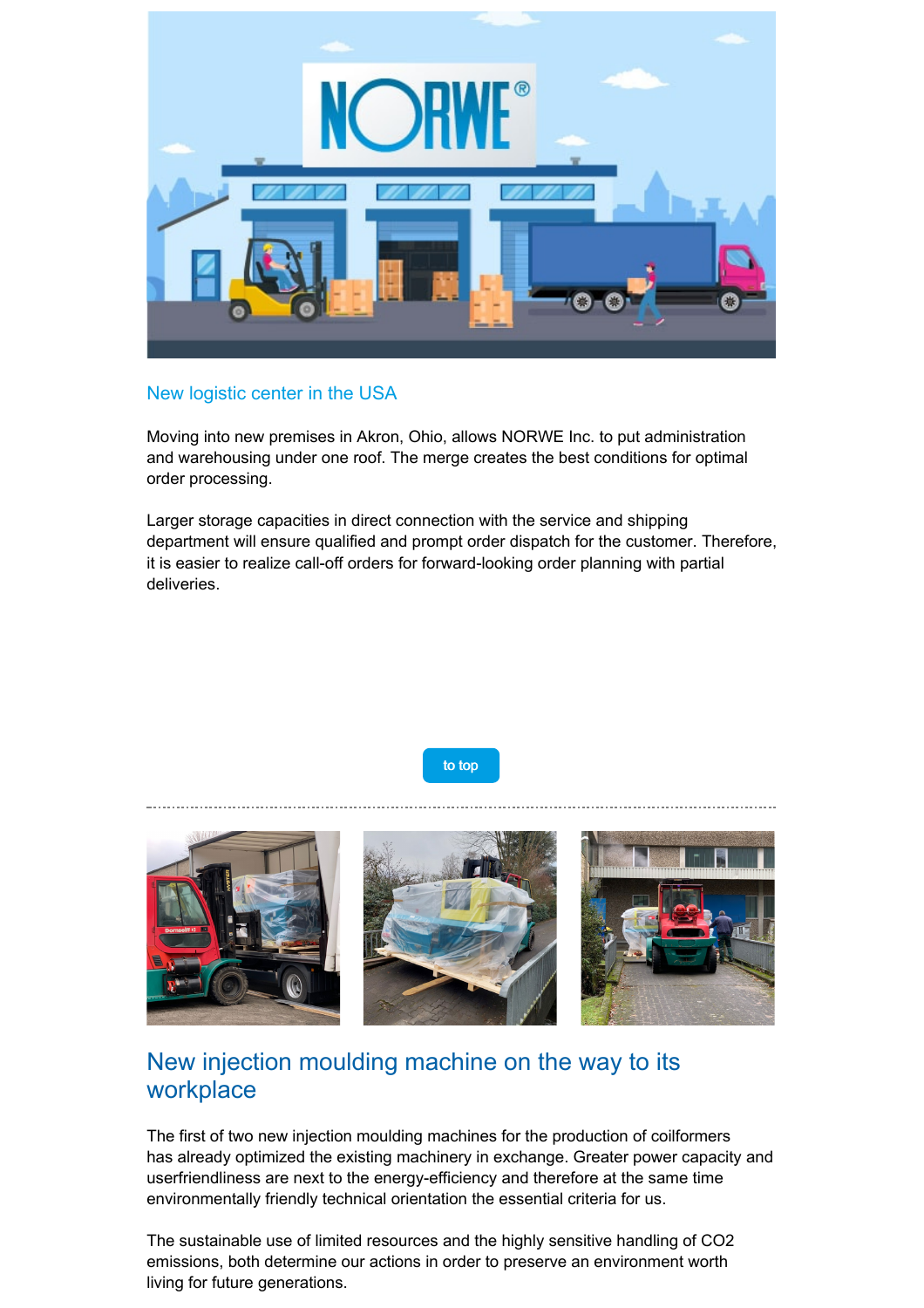

### New logistic center in the USA

Moving into new premises in Akron, Ohio, allows NORWE Inc. to put administration and warehousing under one roof. The merge creates the best conditions for optimal order processing.

Larger storage capacities in direct connection with the service and shipping department will ensure qualified and prompt order dispatch for the customer. Therefore, it is easier to realize call-off orders for forward-looking order planning with partial deliveries.

to [top](#page-0-1)

<span id="page-1-0"></span>

# New injection moulding machine on the way to its workplace

The first of two new injection moulding machines for the production of coilformers has already optimized the existing machinery in exchange. Greater power capacity and userfriendliness are next to the energy-efficiency and therefore at the same time environmentally friendly technical orientation the essential criteria for us.

The sustainable use of limited resources and the highly sensitive handling of CO2 emissions, both determine our actions in order to preserve an environment worth living for future generations.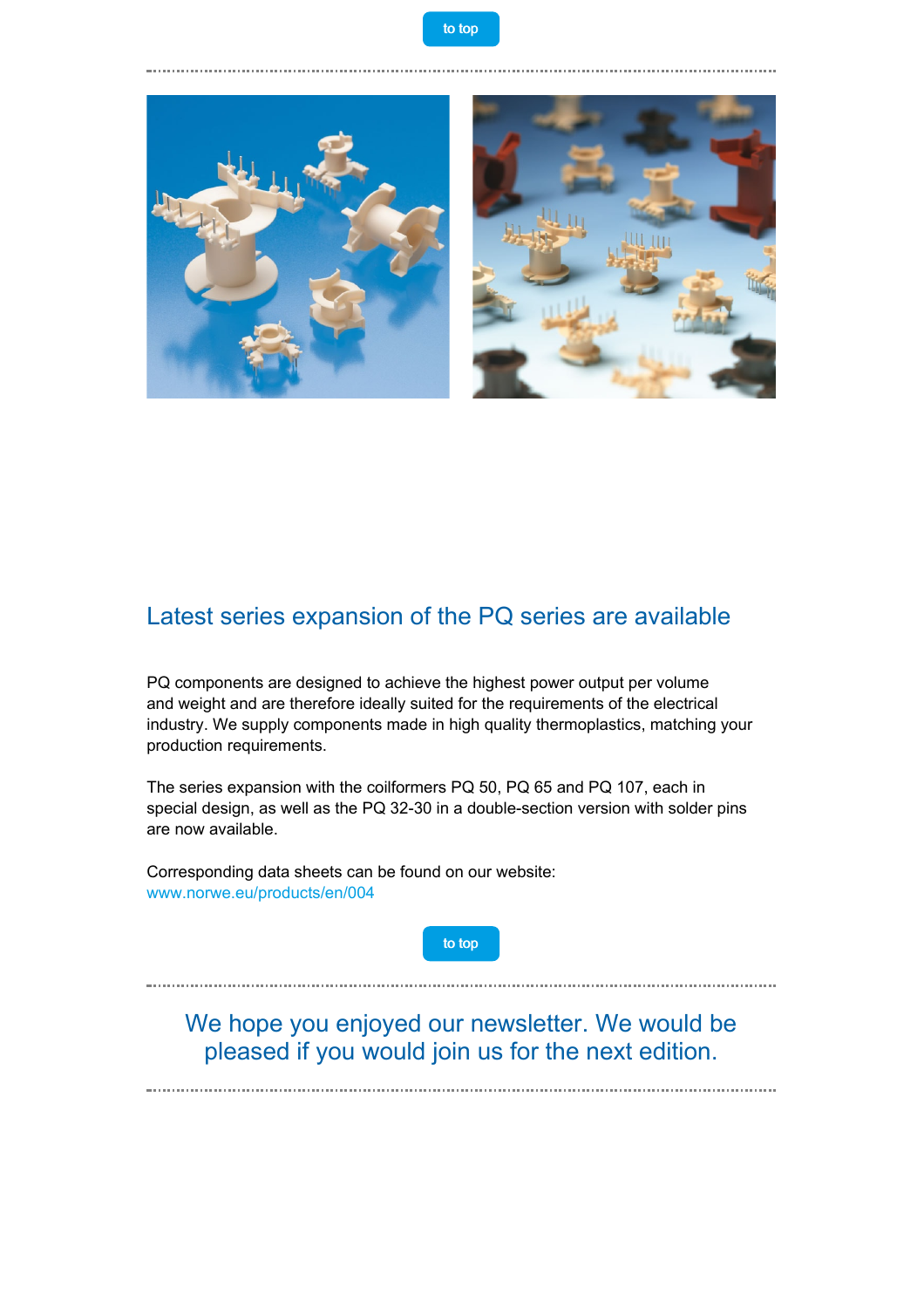

<span id="page-2-0"></span>

## Latest series expansion of the PQ series are available

PQ components are designed to achieve the highest power output per volume and weight and are therefore ideally suited for the requirements of the electrical industry. We supply components made in high quality thermoplastics, matching your production requirements.

The series expansion with the coilformers PQ 50, PQ 65 and PQ 107, each in special design, as well as the PQ 32-30 in a double-section version with solder pins are now available.

Corresponding data sheets can be found on our website: [www.norwe.eu/products/en/004](https://taadea104.emailsys1a.net/c/177/5217197/0/0/0/276139/9080ff0f3b.html?testmail=yes)

to [top](#page-0-1)

We hope you enjoyed our newsletter. We would be pleased if you would join us for the next edition.